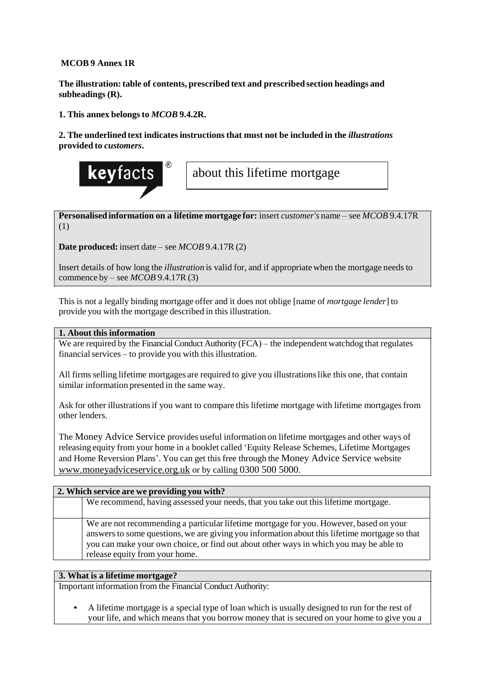### **MCOB 9 Annex 1R**

**The illustration:table of contents, prescribed text and prescribed section headings and subheadings (R).**

**1. This annex belongsto** *MCOB* **9.4.2R.**

**2. The underlined text indicatesinstructions that must not be included in the** *illustrations* **provided to** *customers***.**



**Personalised information on a lifetime mortgage for:** insert *customer's* name – see *MCOB* 9.4.17R (1)

**Date produced:** insert date – see *MCOB* 9.4.17R (2)

Insert details of how long the *illustration* is valid for, and if appropriate when the mortgage needs to commence by – see  $MCOB$  9.4.17R (3)

This is not a legally binding mortgage offer and it does not oblige [name of *mortgage lender*] to provide you with the mortgage described in this illustration.

### **1. About this information**

We are required by the Financial Conduct Authority (FCA) – the independent watchdog that regulates financial services – to provide you with this illustration.

All firms selling lifetime mortgages are required to give you illustrationslike this one, that contain similar information presented in the same way.

Ask for other illustrationsif you want to compare this lifetime mortgage with lifetime mortgagesfrom other lenders.

The Money Advice Service provides useful information on lifetime mortgages and other ways of releasing equity from your home in a booklet called 'Equity Release Schemes, Lifetime Mortgages and Home Reversion Plans'. You can get this free through the Money Advice Service website [www.moneyadviceservice.org.uk](http://www.moneyadviceservice.org.uk/) or by calling 0300 500 5000.

### **2. Which service are we providing you with?**

We recommend, having assessed your needs, that you take out this lifetime mortgage.

We are not recommending a particular lifetime mortgage for you. However, based on your answersto some questions, we are giving you information about this lifetime mortgage so that you can make your own choice, or find out about other ways in which you may be able to release equity from your home.

# **3. What is a lifetime mortgage?**

Important information from the Financial Conduct Authority:

• A lifetime mortgage is a special type of loan which is usually designed to run for the rest of your life, and which means that you borrow money that is secured on your home to give you a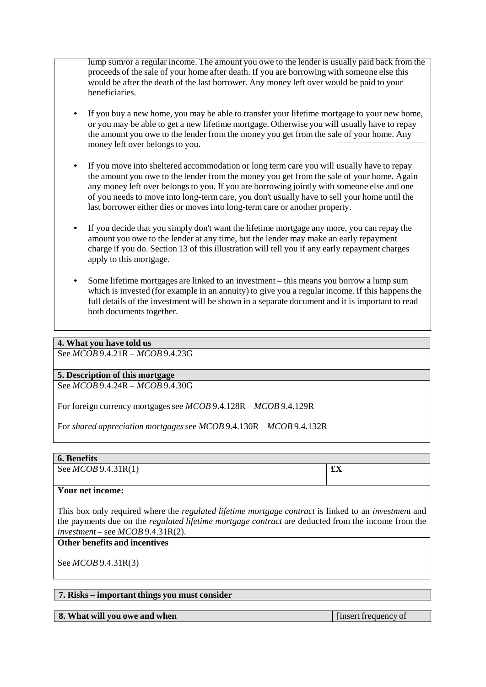lump sum/or a regular income. The amount you owe to the lender is usually paid back from the proceeds of the sale of your home after death. If you are borrowing with someone else this would be after the death of the last borrower. Any money left over would be paid to your beneficiaries.

- If you buy a new home, you may be able to transfer your lifetime mortgage to your new home, or you may be able to get a new lifetime mortgage. Otherwise you will usually have to repay the amount you owe to the lender from the money you get from the sale of your home. Any money left over belongs to you.
- If you move into sheltered accommodation or long term care you will usually have to repay the amount you owe to the lender from the money you get from the sale of your home. Again any money left over belongs to you. If you are borrowing jointly with someone else and one of you needs to move into long-termcare, you don't usually have to sell your home until the last borrower either dies or moves into long-termcare or another property.
- If you decide that you simply don't want the lifetime mortgage any more, you can repay the amount you owe to the lender at any time, but the lender may make an early repayment charge if you do. Section 13 of this illustration will tell you if any early repayment charges apply to this mortgage.
- Some lifetime mortgages are linked to an investment this means you borrow a lump sum which is invested (for example in an annuity) to give you a regular income. If this happens the full details of the investment will be shown in a separate document and it is important to read both documents together.

### **4. What you have told us**

See *MCOB* 9.4.21R – *MCOB* 9.4.23G

#### **5. Description of this mortgage**

See *MCOB* 9.4.24R – *MCOB* 9.4.30G

For foreign currency mortgages see *MCOB* 9.4.128R – *MCOB* 9.4.129R

For *shared appreciation mortgages*see *MCOB* 9.4.130R – *MCOB* 9.4.132R

#### **6. Benefits**

See *MCOB* 9.4.31R(1) **£X** 

#### **Your net income:**

This box only required where the *regulated lifetime mortgage contract* is linked to an *investment* and the payments due on the *regulated lifetime mortgage contract* are deducted from the income from the *investment* – see *MCOB* 9.4.31R(2).

# **Other benefits and incentives**

See *MCOB* 9.4.31R(3)

#### **7. Risks – important things you must consider**

**8. What will you owe and when** [insert frequency of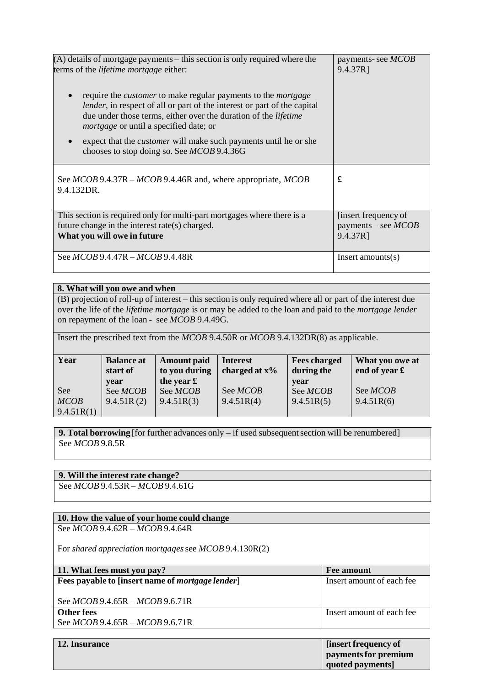| $(A)$ details of mortgage payments – this section is only required where the<br>terms of the <i>lifetime mortgage</i> either:                                                                                                                                                                                                                                                                                       | payments-see MCOB<br>9.4.37R]                             |
|---------------------------------------------------------------------------------------------------------------------------------------------------------------------------------------------------------------------------------------------------------------------------------------------------------------------------------------------------------------------------------------------------------------------|-----------------------------------------------------------|
| require the <i>customer</i> to make regular payments to the <i>mortgage</i><br><i>lender</i> , in respect of all or part of the interest or part of the capital<br>due under those terms, either over the duration of the <i>lifetime</i><br><i>mortgage</i> or until a specified date; or<br>expect that the <i>customer</i> will make such payments until he or she<br>chooses to stop doing so. See MCOB 9.4.36G |                                                           |
| See MCOB 9.4.37R – MCOB 9.4.46R and, where appropriate, MCOB<br>9.4.132DR.                                                                                                                                                                                                                                                                                                                                          | £                                                         |
| This section is required only for multi-part mortgages where there is a<br>future change in the interest rate(s) charged.<br>What you will owe in future                                                                                                                                                                                                                                                            | [insert frequency of<br>payments – see $MCOB$<br>9.4.37R] |
| See $MCOB$ 9.4.47R – $MCOB$ 9.4.48R                                                                                                                                                                                                                                                                                                                                                                                 | Insert amounts(s)                                         |

## **8. What will you owe and when**

(B) projection of roll-up of interest – this section is only required where all or part of the interest due over the life of the *lifetime mortgage* is or may be added to the loan and paid to the *mortgage lender*  on repayment of the loan - see *MCOB* 9.4.49G.

Insert the prescribed text from the *MCOB* 9.4.50R or *MCOB* 9.4.132DR(8) as applicable.

| Year        | <b>Balance at</b><br>start of | <b>Amount paid</b><br>to you during | <b>Interest</b><br>charged at $x\%$ | <b>Fees charged</b><br>during the | What you owe at<br>end of year $\mathbf f$ |
|-------------|-------------------------------|-------------------------------------|-------------------------------------|-----------------------------------|--------------------------------------------|
|             | year                          | the year $\mathbf f$                |                                     | vear                              |                                            |
| See         | See <i>MCOB</i>               | See <i>MCOB</i>                     | See <i>MCOB</i>                     | See <i>MCOB</i>                   | See <i>MCOB</i>                            |
| <b>MCOB</b> | 9.4.51R(2)                    | 9.4.51R(3)                          | 9.4.51R(4)                          | 9.4.51R(5)                        | 9.4.51R(6)                                 |
| 9.4.51R(1)  |                               |                                     |                                     |                                   |                                            |

**9. Total borrowing** [for further advances only – if used subsequent section will be renumbered] See *MCOB* 9.8.5R

## **9. Will the interest rate change?**

See *MCOB* 9.4.53R – *MCOB* 9.4.61G

### **10. How the value of your home could change**

See *MCOB* 9.4.62R – *MCOB* 9.4.64R

For *shared appreciation mortgages*see *MCOB* 9.4.130R(2)

| <b>Fee amount</b>         |
|---------------------------|
| Insert amount of each fee |
|                           |
|                           |
| Insert amount of each fee |
|                           |
|                           |

| <b>12. Insurance</b> | [insert frequency of] |
|----------------------|-----------------------|
|                      | payments for premium  |
|                      | quoted payments]      |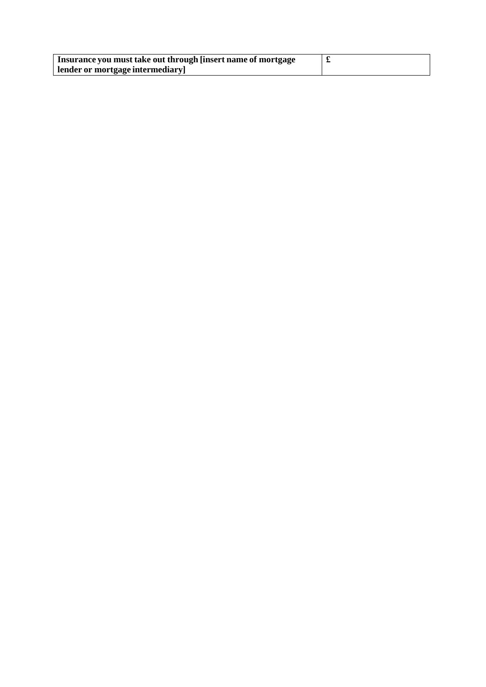| Insurance you must take out through [insert name of mortgage |  |
|--------------------------------------------------------------|--|
| lender or mortgage intermediary                              |  |